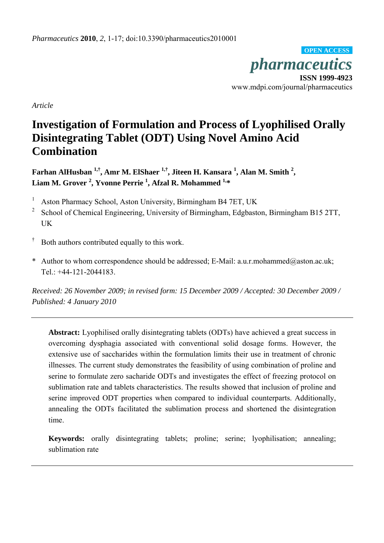*pharmaceutics* **ISSN 1999-4923**  www.mdpi.com/journal/pharmaceutics **OPEN ACCESS**

*Article* 

# **Investigation of Formulation and Process of Lyophilised Orally Disintegrating Tablet (ODT) Using Novel Amino Acid Combination**

**Farhan AlHusban 1,†, Amr M. ElShaer 1,†, Jiteen H. Kansara 1 , Alan M. Smith <sup>2</sup> , Liam M. Grover 2 , Yvonne Perrie 1 , Afzal R. Mohammed 1,\*** 

1 Aston Pharmacy School, Aston University, Birmingham B4 7ET, UK

2 School of Chemical Engineering, University of Birmingham, Edgbaston, Birmingham B15 2TT, UK

- † Both authors contributed equally to this work.
- \* Author to whom correspondence should be addressed; E-Mail: a.u.r.mohammed@aston.ac.uk; Tel.: +44-121-2044183.

*Received: 26 November 2009; in revised form: 15 December 2009 / Accepted: 30 December 2009 / Published: 4 January 2010* 

**Abstract:** Lyophilised orally disintegrating tablets (ODTs) have achieved a great success in overcoming dysphagia associated with conventional solid dosage forms. However, the extensive use of saccharides within the formulation limits their use in treatment of chronic illnesses. The current study demonstrates the feasibility of using combination of proline and serine to formulate zero sacharide ODTs and investigates the effect of freezing protocol on sublimation rate and tablets characteristics. The results showed that inclusion of proline and serine improved ODT properties when compared to individual counterparts. Additionally, annealing the ODTs facilitated the sublimation process and shortened the disintegration time.

**Keywords:** orally disintegrating tablets; proline; serine; lyophilisation; annealing; sublimation rate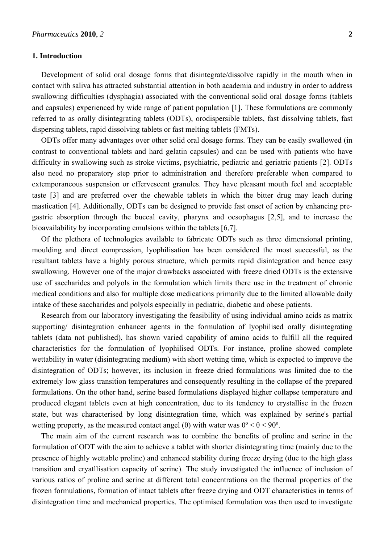#### **1. Introduction**

Development of solid oral dosage forms that disintegrate/dissolve rapidly in the mouth when in contact with saliva has attracted substantial attention in both academia and industry in order to address swallowing difficulties (dysphagia) associated with the conventional solid oral dosage forms (tablets and capsules) experienced by wide range of patient population [1]. These formulations are commonly referred to as orally disintegrating tablets (ODTs), orodispersible tablets, fast dissolving tablets, fast dispersing tablets, rapid dissolving tablets or fast melting tablets (FMTs).

ODTs offer many advantages over other solid oral dosage forms. They can be easily swallowed (in contrast to conventional tablets and hard gelatin capsules) and can be used with patients who have difficulty in swallowing such as stroke victims, psychiatric, pediatric and geriatric patients [2]. ODTs also need no preparatory step prior to administration and therefore preferable when compared to extemporaneous suspension or effervescent granules. They have pleasant mouth feel and acceptable taste [3] and are preferred over the chewable tablets in which the bitter drug may leach during mastication [4]. Additionally, ODTs can be designed to provide fast onset of action by enhancing pregastric absorption through the buccal cavity, pharynx and oesophagus [2,5], and to increase the bioavailability by incorporating emulsions within the tablets [6,7].

Of the plethora of technologies available to fabricate ODTs such as three dimensional printing, moulding and direct compression, lyophilisation has been considered the most successful, as the resultant tablets have a highly porous structure, which permits rapid disintegration and hence easy swallowing. However one of the major drawbacks associated with freeze dried ODTs is the extensive use of saccharides and polyols in the formulation which limits there use in the treatment of chronic medical conditions and also for multiple dose medications primarily due to the limited allowable daily intake of these saccharides and polyols especially in pediatric, diabetic and obese patients.

Research from our laboratory investigating the feasibility of using individual amino acids as matrix supporting/ disintegration enhancer agents in the formulation of lyophilised orally disintegrating tablets (data not published), has shown varied capability of amino acids to fulfill all the required characteristics for the formulation of lyophilised ODTs. For instance, proline showed complete wettability in water (disintegrating medium) with short wetting time, which is expected to improve the disintegration of ODTs; however, its inclusion in freeze dried formulations was limited due to the extremely low glass transition temperatures and consequently resulting in the collapse of the prepared formulations. On the other hand, serine based formulations displayed higher collapse temperature and produced elegant tablets even at high concentration, due to its tendency to crystallise in the frozen state, but was characterised by long disintegration time, which was explained by serine's partial wetting property, as the measured contact angel (θ) with water was  $0^{\circ} < \theta < 90^{\circ}$ .

The main aim of the current research was to combine the benefits of proline and serine in the formulation of ODT with the aim to achieve a tablet with shorter disintegrating time (mainly due to the presence of highly wettable proline) and enhanced stability during freeze drying (due to the high glass transition and cryatllisation capacity of serine). The study investigated the influence of inclusion of various ratios of proline and serine at different total concentrations on the thermal properties of the frozen formulations, formation of intact tablets after freeze drying and ODT characteristics in terms of disintegration time and mechanical properties. The optimised formulation was then used to investigate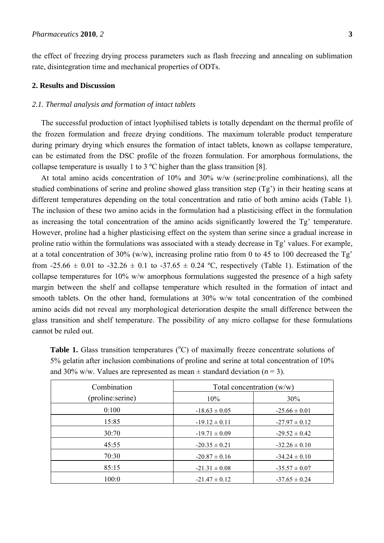the effect of freezing drying process parameters such as flash freezing and annealing on sublimation rate, disintegration time and mechanical properties of ODTs.

## **2. Results and Discussion**

## *2.1. Thermal analysis and formation of intact tablets*

The successful production of intact lyophilised tablets is totally dependant on the thermal profile of the frozen formulation and freeze drying conditions. The maximum tolerable product temperature during primary drying which ensures the formation of intact tablets, known as collapse temperature, can be estimated from the DSC profile of the frozen formulation. For amorphous formulations, the collapse temperature is usually 1 to 3 ºC higher than the glass transition [8].

At total amino acids concentration of 10% and 30% w/w (serine:proline combinations), all the studied combinations of serine and proline showed glass transition step (Tg') in their heating scans at different temperatures depending on the total concentration and ratio of both amino acids (Table 1). The inclusion of these two amino acids in the formulation had a plasticising effect in the formulation as increasing the total concentration of the amino acids significantly lowered the Tg' temperature. However, proline had a higher plasticising effect on the system than serine since a gradual increase in proline ratio within the formulations was associated with a steady decrease in Tg' values. For example, at a total concentration of 30% (w/w), increasing proline ratio from 0 to 45 to 100 decreased the Tg' from -25.66  $\pm$  0.01 to -32.26  $\pm$  0.1 to -37.65  $\pm$  0.24 °C, respectively (Table 1). Estimation of the collapse temperatures for 10% w/w amorphous formulations suggested the presence of a high safety margin between the shelf and collapse temperature which resulted in the formation of intact and smooth tablets. On the other hand, formulations at 30% w/w total concentration of the combined amino acids did not reveal any morphological deterioration despite the small difference between the glass transition and shelf temperature. The possibility of any micro collapse for these formulations cannot be ruled out.

| Combination       | Total concentration $(w/w)$ |                   |  |
|-------------------|-----------------------------|-------------------|--|
| (proline: serine) | 10%                         | $30\%$            |  |
| 0:100             | $-18.63 \pm 0.05$           | $-25.66 \pm 0.01$ |  |
| 15:85             | $-19.12 \pm 0.11$           | $-27.97 \pm 0.12$ |  |
| 30:70             | $-19.71 \pm 0.09$           | $-29.52 \pm 0.42$ |  |
| 45:55             | $-20.35 \pm 0.21$           | $-32.26 \pm 0.10$ |  |
| 70:30             | $-20.87 \pm 0.16$           | $-34.24 \pm 0.10$ |  |
| 85:15             | $-21.31 \pm 0.08$           | $-35.57 \pm 0.07$ |  |
| 100:0             | $-21.47 \pm 0.12$           | $-37.65 \pm 0.24$ |  |

**Table 1.** Glass transition temperatures  $(^{\circ}C)$  of maximally freeze concentrate solutions of 5% gelatin after inclusion combinations of proline and serine at total concentration of 10% and 30% w/w. Values are represented as mean  $\pm$  standard deviation ( $n = 3$ ).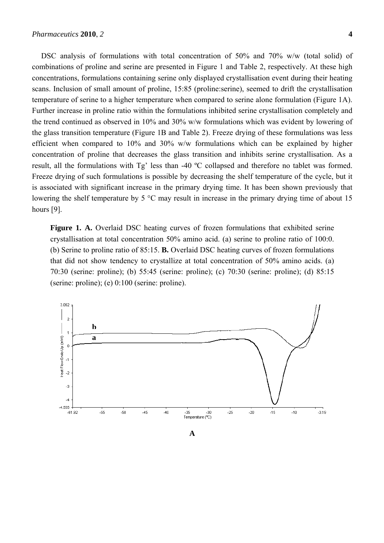DSC analysis of formulations with total concentration of 50% and 70% w/w (total solid) of combinations of proline and serine are presented in Figure 1 and Table 2, respectively. At these high concentrations, formulations containing serine only displayed crystallisation event during their heating scans. Inclusion of small amount of proline, 15:85 (proline:serine), seemed to drift the crystallisation temperature of serine to a higher temperature when compared to serine alone formulation (Figure 1A). Further increase in proline ratio within the formulations inhibited serine crystallisation completely and the trend continued as observed in 10% and 30% w/w formulations which was evident by lowering of the glass transition temperature (Figure 1B and Table 2). Freeze drying of these formulations was less efficient when compared to 10% and 30% w/w formulations which can be explained by higher concentration of proline that decreases the glass transition and inhibits serine crystallisation. As a result, all the formulations with Tg' less than -40 ºC collapsed and therefore no tablet was formed. Freeze drying of such formulations is possible by decreasing the shelf temperature of the cycle, but it is associated with significant increase in the primary drying time. It has been shown previously that lowering the shelf temperature by 5 °C may result in increase in the primary drying time of about 15 hours [9].

Figure 1. A. Overlaid DSC heating curves of frozen formulations that exhibited serine crystallisation at total concentration 50% amino acid. (a) serine to proline ratio of 100:0. (b) Serine to proline ratio of 85:15. **B.** Overlaid DSC heating curves of frozen formulations that did not show tendency to crystallize at total concentration of 50% amino acids. (a) 70:30 (serine: proline); (b) 55:45 (serine: proline); (c) 70:30 (serine: proline); (d) 85:15 (serine: proline); (e) 0:100 (serine: proline).

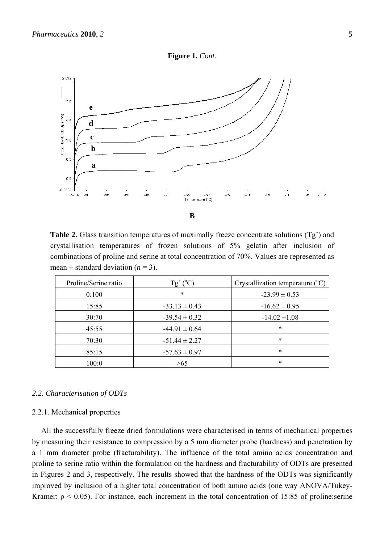



**Table 2.** Glass transition temperatures of maximally freeze concentrate solutions (Tg') and crystallisation temperatures of frozen solutions of 5% gelatin after inclusion of combinations of proline and serine at total concentration of 70%. Values are represented as mean  $\pm$  standard deviation ( $n = 3$ ).

| Proline/Serine ratio | $Tg'(^{\circ}C)$  | Crystallization temperature $(^{\circ}C)$ |  |
|----------------------|-------------------|-------------------------------------------|--|
| 0:100                | $\ast$            | $-23.99 \pm 0.53$                         |  |
| 15:85                | $-33.13 \pm 0.43$ | $-16.62 \pm 0.95$                         |  |
| 30:70                | $-39.54 \pm 0.32$ | $-14.02 \pm 1.08$                         |  |
| 45:55                | $-44.91 \pm 0.64$ | *                                         |  |
| 70:30                | $-51.44 \pm 2.27$ | *                                         |  |
| 85:15                | $-57.63 \pm 0.97$ | *                                         |  |
| 100:0                | >65               | *                                         |  |

#### *2.2. Characterisation of ODTs*

# 2.2.1. Mechanical properties

All the successfully freeze dried formulations were characterised in terms of mechanical properties by measuring their resistance to compression by a 5 mm diameter probe (hardness) and penetration by a 1 mm diameter probe (fracturability). The influence of the total amino acids concentration and proline to serine ratio within the formulation on the hardness and fracturability of ODTs are presented in Figures 2 and 3, respectively. The results showed that the hardness of the ODTs was significantly improved by inclusion of a higher total concentration of both amino acids (one way ANOVA/Tukey-Kramer:  $\rho$  < 0.05). For instance, each increment in the total concentration of 15:85 of proline:serine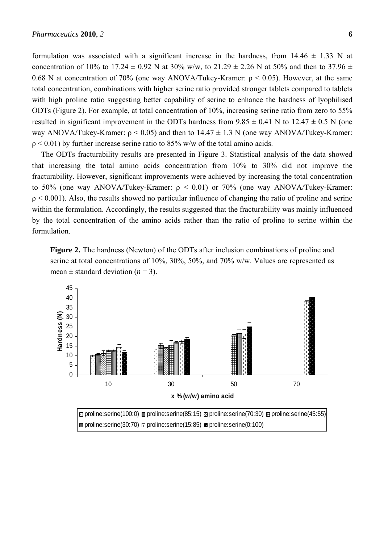formulation was associated with a significant increase in the hardness, from  $14.46 \pm 1.33$  N at concentration of 10% to 17.24  $\pm$  0.92 N at 30% w/w, to 21.29  $\pm$  2.26 N at 50% and then to 37.96  $\pm$ 0.68 N at concentration of 70% (one way ANOVA/Tukey-Kramer:  $\rho$  < 0.05). However, at the same total concentration, combinations with higher serine ratio provided stronger tablets compared to tablets with high proline ratio suggesting better capability of serine to enhance the hardness of lyophilised ODTs (Figure 2). For example, at total concentration of 10%, increasing serine ratio from zero to 55% resulted in significant improvement in the ODTs hardness from  $9.85 \pm 0.41$  N to  $12.47 \pm 0.5$  N (one way ANOVA/Tukey-Kramer:  $\rho$  < 0.05) and then to 14.47  $\pm$  1.3 N (one way ANOVA/Tukey-Kramer:  $p < 0.01$ ) by further increase serine ratio to 85% w/w of the total amino acids.

The ODTs fracturability results are presented in Figure 3. Statistical analysis of the data showed that increasing the total amino acids concentration from 10% to 30% did not improve the fracturability. However, significant improvements were achieved by increasing the total concentration to 50% (one way ANOVA/Tukey-Kramer:  $ρ < 0.01$ ) or 70% (one way ANOVA/Tukey-Kramer:  $p \le 0.001$ ). Also, the results showed no particular influence of changing the ratio of proline and serine within the formulation. Accordingly, the results suggested that the fracturability was mainly influenced by the total concentration of the amino acids rather than the ratio of proline to serine within the formulation.

**Figure 2.** The hardness (Newton) of the ODTs after inclusion combinations of proline and serine at total concentrations of 10%, 30%, 50%, and 70% w/w. Values are represented as mean  $\pm$  standard deviation ( $n = 3$ ).



 $\text{m}$  proline:serine(30:70)  $\text{m}$  proline:serine(15:85)  $\text{m}$  proline:serine(0:100)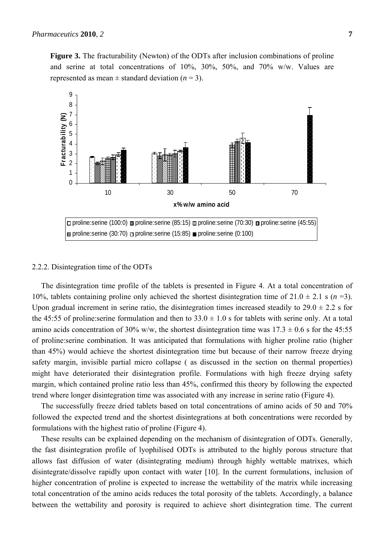**Figure 3.** The fracturability (Newton) of the ODTs after inclusion combinations of proline and serine at total concentrations of 10%, 30%, 50%, and 70% w/w. Values are represented as mean  $\pm$  standard deviation ( $n = 3$ ).



#### 2.2.2. Disintegration time of the ODTs

The disintegration time profile of the tablets is presented in Figure 4. At a total concentration of 10%, tablets containing proline only achieved the shortest disintegration time of  $21.0 \pm 2.1$  s (*n* =3). Upon gradual increment in serine ratio, the disintegration times increased steadily to  $29.0 \pm 2.2$  s for the 45:55 of proline: serine formulation and then to  $33.0 \pm 1.0$  s for tablets with serine only. At a total amino acids concentration of 30% w/w, the shortest disintegration time was  $17.3 \pm 0.6$  s for the 45:55 of proline:serine combination. It was anticipated that formulations with higher proline ratio (higher than 45%) would achieve the shortest disintegration time but because of their narrow freeze drying safety margin, invisible partial micro collapse ( as discussed in the section on thermal properties) might have deteriorated their disintegration profile. Formulations with high freeze drying safety margin, which contained proline ratio less than 45%, confirmed this theory by following the expected trend where longer disintegration time was associated with any increase in serine ratio (Figure 4).

The successfully freeze dried tablets based on total concentrations of amino acids of 50 and 70% followed the expected trend and the shortest disintegrations at both concentrations were recorded by formulations with the highest ratio of proline (Figure 4).

These results can be explained depending on the mechanism of disintegration of ODTs. Generally, the fast disintegration profile of lyophilised ODTs is attributed to the highly porous structure that allows fast diffusion of water (disintegrating medium) through highly wettable matrixes, which disintegrate/dissolve rapidly upon contact with water [10]. In the current formulations, inclusion of higher concentration of proline is expected to increase the wettability of the matrix while increasing total concentration of the amino acids reduces the total porosity of the tablets. Accordingly, a balance between the wettability and porosity is required to achieve short disintegration time. The current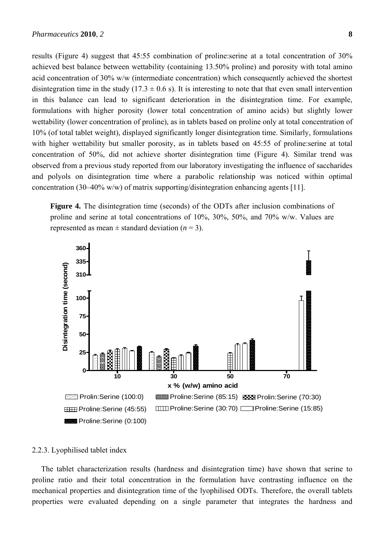results (Figure 4) suggest that 45:55 combination of proline:serine at a total concentration of 30% achieved best balance between wettability (containing 13.50% proline) and porosity with total amino acid concentration of 30% w/w (intermediate concentration) which consequently achieved the shortest disintegration time in the study (17.3  $\pm$  0.6 s). It is interesting to note that that even small intervention in this balance can lead to significant deterioration in the disintegration time. For example, formulations with higher porosity (lower total concentration of amino acids) but slightly lower wettability (lower concentration of proline), as in tablets based on proline only at total concentration of 10% (of total tablet weight), displayed significantly longer disintegration time. Similarly, formulations with higher wettability but smaller porosity, as in tablets based on 45:55 of proline:serine at total concentration of 50%, did not achieve shorter disintegration time (Figure 4). Similar trend was observed from a previous study reported from our laboratory investigating the influence of saccharides and polyols on disintegration time where a parabolic relationship was noticed within optimal concentration (30–40% w/w) of matrix supporting/disintegration enhancing agents [11].

**Figure 4.** The disintegration time (seconds) of the ODTs after inclusion combinations of proline and serine at total concentrations of 10%, 30%, 50%, and 70% w/w. Values are represented as mean  $\pm$  standard deviation ( $n = 3$ ).



#### 2.2.3. Lyophilised tablet index

The tablet characterization results (hardness and disintegration time) have shown that serine to proline ratio and their total concentration in the formulation have contrasting influence on the mechanical properties and disintegration time of the lyophilised ODTs. Therefore, the overall tablets properties were evaluated depending on a single parameter that integrates the hardness and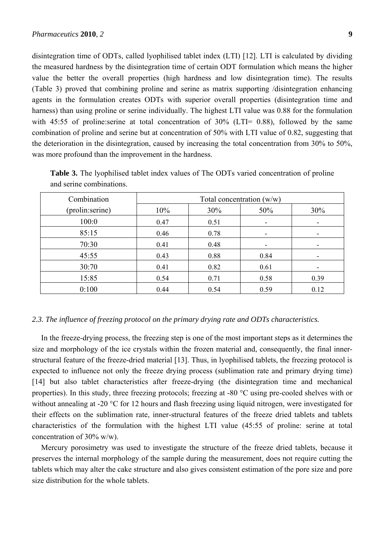disintegration time of ODTs, called lyophilised tablet index (LTI) [12]. LTI is calculated by dividing the measured hardness by the disintegration time of certain ODT formulation which means the higher value the better the overall properties (high hardness and low disintegration time). The results (Table 3) proved that combining proline and serine as matrix supporting /disintegration enhancing agents in the formulation creates ODTs with superior overall properties (disintegration time and harness) than using proline or serine individually. The highest LTI value was 0.88 for the formulation with 45:55 of proline: serine at total concentration of 30% (LTI= 0.88), followed by the same combination of proline and serine but at concentration of 50% with LTI value of 0.82, suggesting that the deterioration in the disintegration, caused by increasing the total concentration from 30% to 50%, was more profound than the improvement in the hardness.

| Combination      | Total concentration $(w/w)$ |      |      |      |  |
|------------------|-----------------------------|------|------|------|--|
| (prolin: serine) | 10%                         | 30%  | 50%  | 30%  |  |
| 100:0            | 0.47                        | 0.51 | -    |      |  |
| 85:15            | 0.46                        | 0.78 | -    |      |  |
| 70:30            | 0.41                        | 0.48 |      |      |  |
| 45:55            | 0.43                        | 0.88 | 0.84 |      |  |
| 30:70            | 0.41                        | 0.82 | 0.61 |      |  |
| 15:85            | 0.54                        | 0.71 | 0.58 | 0.39 |  |
| 0:100            | 0.44                        | 0.54 | 0.59 | 0.12 |  |

**Table 3.** The lyophilised tablet index values of The ODTs varied concentration of proline and serine combinations.

# *2.3. The influence of freezing protocol on the primary drying rate and ODTs characteristics.*

In the freeze-drying process, the freezing step is one of the most important steps as it determines the size and morphology of the ice crystals within the frozen material and, consequently, the final innerstructural feature of the freeze-dried material [13]. Thus, in lyophilised tablets, the freezing protocol is expected to influence not only the freeze drying process (sublimation rate and primary drying time) [14] but also tablet characteristics after freeze-drying (the disintegration time and mechanical properties). In this study, three freezing protocols; freezing at -80 °C using pre-cooled shelves with or without annealing at -20 °C for 12 hours and flash freezing using liquid nitrogen, were investigated for their effects on the sublimation rate, inner-structural features of the freeze dried tablets and tablets characteristics of the formulation with the highest LTI value (45:55 of proline: serine at total concentration of 30% w/w).

Mercury porosimetry was used to investigate the structure of the freeze dried tablets, because it preserves the internal morphology of the sample during the measurement, does not require cutting the tablets which may alter the cake structure and also gives consistent estimation of the pore size and pore size distribution for the whole tablets.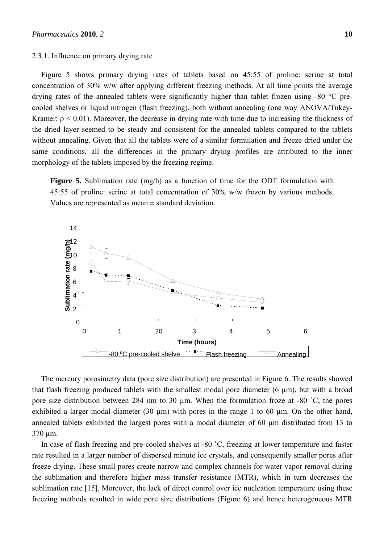#### 2.3.1. Influence on primary drying rate

Figure 5 shows primary drying rates of tablets based on 45:55 of proline: serine at total concentration of 30% w/w after applying different freezing methods. At all time points the average drying rates of the annealed tablets were significantly higher than tablet frozen using -80 °C precooled shelves or liquid nitrogen (flash freezing), both without annealing (one way ANOVA/Tukey-Kramer:  $\rho \le 0.01$ ). Moreover, the decrease in drying rate with time due to increasing the thickness of the dried layer seemed to be steady and consistent for the annealed tablets compared to the tablets without annealing. Given that all the tablets were of a similar formulation and freeze dried under the same conditions, all the differences in the primary drying profiles are attributed to the inner morphology of the tablets imposed by the freezing regime.

**Figure 5.** Sublimation rate (mg/h) as a function of time for the ODT formulation with 45:55 of proline: serine at total concentration of 30% w/w frozen by various methods. Values are represented as mean  $\pm$  standard deviation.



The mercury porosimetry data (pore size distribution) are presented in Figure 6. The results showed that flash freezing produced tablets with the smallest modal pore diameter (6 µm), but with a broad pore size distribution between 284 nm to 30 µm. When the formulation froze at -80 ˚C, the pores exhibited a larger modal diameter (30  $\mu$ m) with pores in the range 1 to 60  $\mu$ m. On the other hand, annealed tablets exhibited the largest pores with a modal diameter of 60 µm distributed from 13 to 370 µm.

In case of flash freezing and pre-cooled shelves at -80 °C, freezing at lower temperature and faster rate resulted in a larger number of dispersed minute ice crystals, and consequently smaller pores after freeze drying. These small pores create narrow and complex channels for water vapor removal during the sublimation and therefore higher mass transfer resistance (MTR), which in turn decreases the sublimation rate [15]. Moreover, the lack of direct control over ice nucleation temperature using these freezing methods resulted in wide pore size distributions (Figure 6) and hence heterogeneous MTR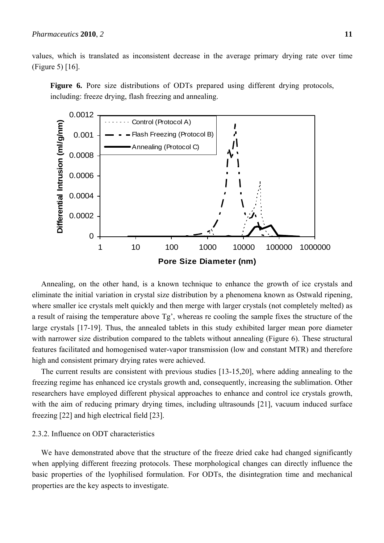values, which is translated as inconsistent decrease in the average primary drying rate over time (Figure 5) [16].





Annealing, on the other hand, is a known technique to enhance the growth of ice crystals and eliminate the initial variation in crystal size distribution by a phenomena known as Ostwald ripening, where smaller ice crystals melt quickly and then merge with larger crystals (not completely melted) as a result of raising the temperature above Tg', whereas re cooling the sample fixes the structure of the large crystals [17-19]. Thus, the annealed tablets in this study exhibited larger mean pore diameter with narrower size distribution compared to the tablets without annealing (Figure 6). These structural features facilitated and homogenised water-vapor transmission (low and constant MTR) and therefore high and consistent primary drying rates were achieved.

The current results are consistent with previous studies [13-15,20], where adding annealing to the freezing regime has enhanced ice crystals growth and, consequently, increasing the sublimation. Other researchers have employed different physical approaches to enhance and control ice crystals growth, with the aim of reducing primary drying times, including ultrasounds [21], vacuum induced surface freezing [22] and high electrical field [23].

# 2.3.2. Influence on ODT characteristics

We have demonstrated above that the structure of the freeze dried cake had changed significantly when applying different freezing protocols. These morphological changes can directly influence the basic properties of the lyophilised formulation. For ODTs, the disintegration time and mechanical properties are the key aspects to investigate.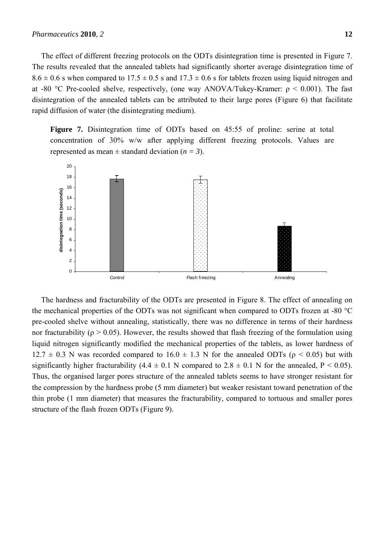#### *Pharmaceutics* **2010**, *2* **12**

The effect of different freezing protocols on the ODTs disintegration time is presented in Figure 7. The results revealed that the annealed tablets had significantly shorter average disintegration time of  $8.6 \pm 0.6$  s when compared to  $17.5 \pm 0.5$  s and  $17.3 \pm 0.6$  s for tablets frozen using liquid nitrogen and at -80 °C Pre-cooled shelve, respectively, (one way ANOVA/Tukey-Kramer:  $\rho \le 0.001$ ). The fast disintegration of the annealed tablets can be attributed to their large pores (Figure 6) that facilitate rapid diffusion of water (the disintegrating medium).

**Figure 7.** Disintegration time of ODTs based on 45:55 of proline: serine at total concentration of 30% w/w after applying different freezing protocols. Values are represented as mean  $\pm$  standard deviation ( $n = 3$ ).



The hardness and fracturability of the ODTs are presented in Figure 8. The effect of annealing on the mechanical properties of the ODTs was not significant when compared to ODTs frozen at -80 °C pre-cooled shelve without annealing, statistically, there was no difference in terms of their hardness nor fracturability ( $ρ > 0.05$ ). However, the results showed that flash freezing of the formulation using liquid nitrogen significantly modified the mechanical properties of the tablets, as lower hardness of  $12.7 \pm 0.3$  N was recorded compared to  $16.0 \pm 1.3$  N for the annealed ODTs ( $\rho$  < 0.05) but with significantly higher fracturability  $(4.4 \pm 0.1 \text{ N}$  compared to  $2.8 \pm 0.1 \text{ N}$  for the annealed, P < 0.05). Thus, the organised larger pores structure of the annealed tablets seems to have stronger resistant for the compression by the hardness probe (5 mm diameter) but weaker resistant toward penetration of the thin probe (1 mm diameter) that measures the fracturability, compared to tortuous and smaller pores structure of the flash frozen ODTs (Figure 9).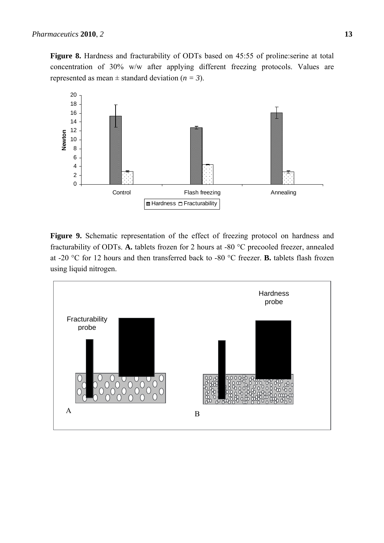**Figure 8.** Hardness and fracturability of ODTs based on 45:55 of proline:serine at total concentration of 30% w/w after applying different freezing protocols. Values are represented as mean  $\pm$  standard deviation ( $n = 3$ ).



**Figure 9.** Schematic representation of the effect of freezing protocol on hardness and fracturability of ODTs. **A.** tablets frozen for 2 hours at -80 °C precooled freezer, annealed at -20 °C for 12 hours and then transferred back to -80 °C freezer. **B.** tablets flash frozen using liquid nitrogen.

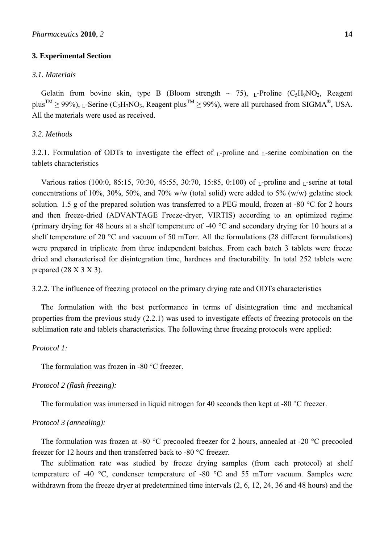#### **3. Experimental Section**

## *3.1. Materials*

Gelatin from bovine skin, type B (Bloom strength  $\sim$  75), L-Proline (C<sub>5</sub>H<sub>9</sub>NO<sub>2</sub>, Reagent plus<sup>TM</sup>  $\geq$  99%), L-Serine (C<sub>3</sub>H<sub>7</sub>NO<sub>3</sub>, Reagent plus<sup>TM</sup>  $\geq$  99%), were all purchased from SIGMA<sup>®</sup>, USA. All the materials were used as received.

## *3.2. Methods*

3.2.1. Formulation of ODTs to investigate the effect of  $L$ -proline and  $L$ -serine combination on the tablets characteristics

Various ratios (100:0, 85:15, 70:30, 45:55, 30:70, 15:85, 0:100) of  $L$ -proline and  $L$ -serine at total concentrations of 10%, 30%, 50%, and 70% w/w (total solid) were added to 5% (w/w) gelatine stock solution. 1.5 g of the prepared solution was transferred to a PEG mould, frozen at -80 °C for 2 hours and then freeze-dried (ADVANTAGE Freeze-dryer, VIRTIS) according to an optimized regime (primary drying for 48 hours at a shelf temperature of -40 °C and secondary drying for 10 hours at a shelf temperature of 20 °C and vacuum of 50 mTorr. All the formulations (28 different formulations) were prepared in triplicate from three independent batches. From each batch 3 tablets were freeze dried and characterised for disintegration time, hardness and fracturability. In total 252 tablets were prepared  $(28 \text{ X } 3 \text{ X } 3)$ .

## 3.2.2. The influence of freezing protocol on the primary drying rate and ODTs characteristics

The formulation with the best performance in terms of disintegration time and mechanical properties from the previous study (2.2.1) was used to investigate effects of freezing protocols on the sublimation rate and tablets characteristics. The following three freezing protocols were applied:

#### *Protocol 1:*

The formulation was frozen in -80 °C freezer.

## *Protocol 2 (flash freezing):*

The formulation was immersed in liquid nitrogen for 40 seconds then kept at -80 °C freezer.

#### *Protocol 3 (annealing):*

The formulation was frozen at -80 °C precooled freezer for 2 hours, annealed at -20 °C precooled freezer for 12 hours and then transferred back to -80 °C freezer.

The sublimation rate was studied by freeze drying samples (from each protocol) at shelf temperature of -40 °C, condenser temperature of -80 °C and 55 mTorr vacuum. Samples were withdrawn from the freeze dryer at predetermined time intervals (2, 6, 12, 24, 36 and 48 hours) and the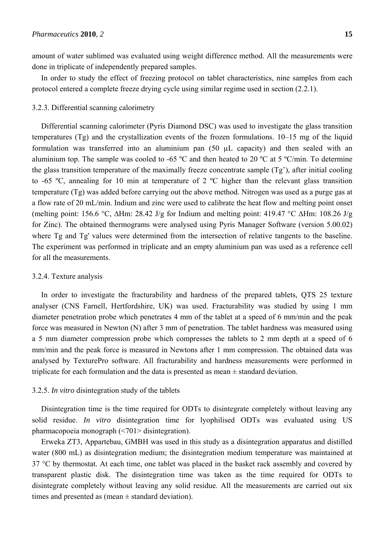amount of water sublimed was evaluated using weight difference method. All the measurements were done in triplicate of independently prepared samples.

In order to study the effect of freezing protocol on tablet characteristics, nine samples from each protocol entered a complete freeze drying cycle using similar regime used in section (2.2.1).

#### 3.2.3. Differential scanning calorimetry

Differential scanning calorimeter (Pyris Diamond DSC) was used to investigate the glass transition temperatures (Tg) and the crystallization events of the frozen formulations. 10–15 mg of the liquid formulation was transferred into an aluminium pan (50 µL capacity) and then sealed with an aluminium top. The sample was cooled to -65 ºC and then heated to 20 ºC at 5 ºC/min. To determine the glass transition temperature of the maximally freeze concentrate sample (Tg'), after initial cooling to -65 ºC, annealing for 10 min at temperature of 2 ºC higher than the relevant glass transition temperature (Tg) was added before carrying out the above method. Nitrogen was used as a purge gas at a flow rate of 20 mL/min. Indium and zinc were used to calibrate the heat flow and melting point onset (melting point: 156.6 °C, ∆Hm: 28.42 J/g for Indium and melting point: 419.47 °C ∆Hm: 108.26 J/g for Zinc). The obtained thermograms were analysed using Pyris Manager Software (version 5.00.02) where Tg and Tg' values were determined from the intersection of relative tangents to the baseline. The experiment was performed in triplicate and an empty aluminium pan was used as a reference cell for all the measurements.

#### 3.2.4. Texture analysis

In order to investigate the fracturability and hardness of the prepared tablets, QTS 25 texture analyser (CNS Farnell, Hertfordshire, UK) was used. Fracturability was studied by using 1 mm diameter penetration probe which penetrates 4 mm of the tablet at a speed of 6 mm/min and the peak force was measured in Newton (N) after 3 mm of penetration. The tablet hardness was measured using a 5 mm diameter compression probe which compresses the tablets to 2 mm depth at a speed of 6 mm/min and the peak force is measured in Newtons after 1 mm compression. The obtained data was analysed by TexturePro software. All fracturability and hardness measurements were performed in triplicate for each formulation and the data is presented as mean  $\pm$  standard deviation.

#### 3.2.5. *In vitro* disintegration study of the tablets

Disintegration time is the time required for ODTs to disintegrate completely without leaving any solid residue. *In vitro* disintegration time for lyophilised ODTs was evaluated using US pharmacopoeia monograph (<701> disintegration).

Erweka ZT3, Appartebau, GMBH was used in this study as a disintegration apparatus and distilled water (800 mL) as disintegration medium; the disintegration medium temperature was maintained at 37 °C by thermostat. At each time, one tablet was placed in the basket rack assembly and covered by transparent plastic disk. The disintegration time was taken as the time required for ODTs to disintegrate completely without leaving any solid residue. All the measurements are carried out six times and presented as (mean  $\pm$  standard deviation).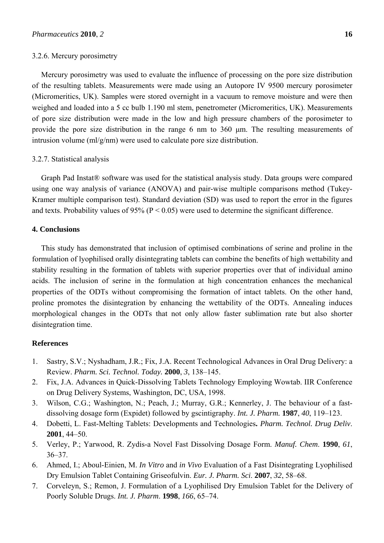#### 3.2.6. Mercury porosimetry

Mercury porosimetry was used to evaluate the influence of processing on the pore size distribution of the resulting tablets. Measurements were made using an Autopore IV 9500 mercury porosimeter (Micromeritics, UK). Samples were stored overnight in a vacuum to remove moisture and were then weighed and loaded into a 5 cc bulb 1.190 ml stem, penetrometer (Micromeritics, UK). Measurements of pore size distribution were made in the low and high pressure chambers of the porosimeter to provide the pore size distribution in the range 6 nm to 360 μm. The resulting measurements of intrusion volume (ml/g/nm) were used to calculate pore size distribution.

## 3.2.7. Statistical analysis

Graph Pad Instat® software was used for the statistical analysis study. Data groups were compared using one way analysis of variance (ANOVA) and pair-wise multiple comparisons method (Tukey-Kramer multiple comparison test). Standard deviation (SD) was used to report the error in the figures and texts. Probability values of 95% ( $P < 0.05$ ) were used to determine the significant difference.

## **4. Conclusions**

This study has demonstrated that inclusion of optimised combinations of serine and proline in the formulation of lyophilised orally disintegrating tablets can combine the benefits of high wettability and stability resulting in the formation of tablets with superior properties over that of individual amino acids. The inclusion of serine in the formulation at high concentration enhances the mechanical properties of the ODTs without compromising the formation of intact tablets. On the other hand, proline promotes the disintegration by enhancing the wettability of the ODTs. Annealing induces morphological changes in the ODTs that not only allow faster sublimation rate but also shorter disintegration time.

## **References**

- 1. Sastry, S.V.; Nyshadham, J.R.; Fix, J.A. Recent Technological Advances in Oral Drug Delivery: a Review. *Pharm. Sci. Technol. Today.* **2000**, *3*, 138–145.
- 2. Fix, J.A. Advances in Quick-Dissolving Tablets Technology Employing Wowtab. IIR Conference on Drug Delivery Systems, Washington, DC, USA, 1998.
- 3. Wilson, C.G.; Washington, N.; Peach, J.; Murray, G.R.; Kennerley, J. The behaviour of a fastdissolving dosage form (Expidet) followed by gscintigraphy. *Int. J. Pharm.* **1987**, *40*, 119–123.
- 4. Dobetti, L. Fast-Melting Tablets: Developments and Technologies**.** *Pharm. Technol. Drug Deliv*. **2001**, 44–50.
- 5. Verley, P.; Yarwood, R. Zydis-a Novel Fast Dissolving Dosage Form. *Manuf. Chem*. **1990**, *61*, 36–37.
- 6. Ahmed, I.; Aboul-Einien, M. *In Vitro* and *in Vivo* Evaluation of a Fast Disintegrating Lyophilised Dry Emulsion Tablet Containing Griseofulvin. *Eur. J. Pharm. Sci*. **2007**, *32*, 58–68.
- 7. Corveleyn, S.; Remon, J. Formulation of a Lyophilised Dry Emulsion Tablet for the Delivery of Poorly Soluble Drugs. *Int. J. Pharm*. **1998**, *166*, 65–74.